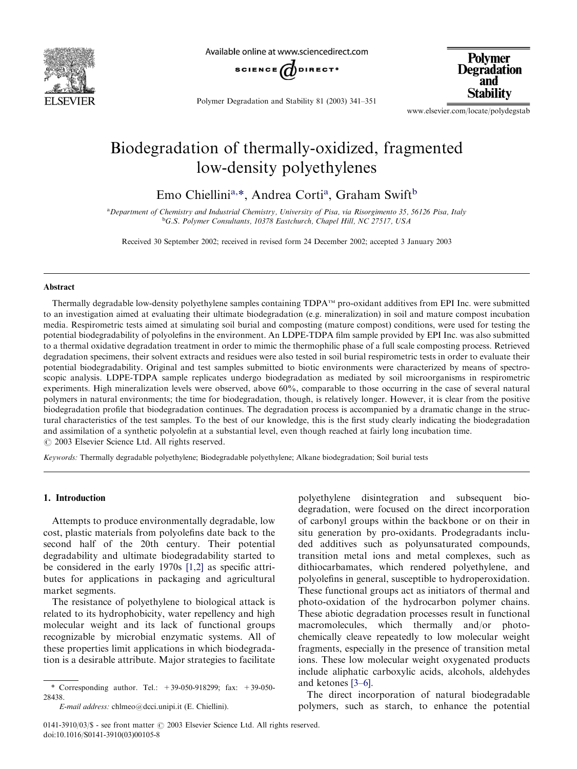

Available online at www.sciencedirect.com



**Polymer Degradation** and **Stability** 

Polymer Degradation and Stability 81 (2003) 341–351

[www.elsevier.com/locate/polydegstab](http://www.elsevier.com/locate/polydegstab/a4.3d)

# Biodegradation of thermally-oxidized, fragmented low-density polyethylenes

Emo Chiellini<sup>a,\*</sup>, Andrea Corti<sup>a</sup>, Graham Swift<sup>b</sup>

a Department of Chemistry and Industrial Chemistry, University of Pisa, via Risorgimento 35, 56126 Pisa, Italy <sup>b</sup>G.S. Polymer Consultants, 10378 Eastchurch, Chapel Hill, NC 27517, USA

Received 30 September 2002; received in revised form 24 December 2002; accepted 3 January 2003

#### Abstract

Thermally degradable low-density polyethylene samples containing  $TDPA^{TM}$  pro-oxidant additives from EPI Inc. were submitted to an investigation aimed at evaluating their ultimate biodegradation (e.g. mineralization) in soil and mature compost incubation media. Respirometric tests aimed at simulating soil burial and composting (mature compost) conditions, were used for testing the potential biodegradability of polyolefins in the environment. An LDPE-TDPA film sample provided by EPI Inc. was also submitted to a thermal oxidative degradation treatment in order to mimic the thermophilic phase of a full scale composting process. Retrieved degradation specimens, their solvent extracts and residues were also tested in soil burial respirometric tests in order to evaluate their potential biodegradability. Original and test samples submitted to biotic environments were characterized by means of spectroscopic analysis. LDPE-TDPA sample replicates undergo biodegradation as mediated by soil microorganisms in respirometric experiments. High mineralization levels were observed, above 60%, comparable to those occurring in the case of several natural polymers in natural environments; the time for biodegradation, though, is relatively longer. However, it is clear from the positive biodegradation profile that biodegradation continues. The degradation process is accompanied by a dramatic change in the structural characteristics of the test samples. To the best of our knowledge, this is the first study clearly indicating the biodegradation and assimilation of a synthetic polyolefin at a substantial level, even though reached at fairly long incubation time.  $\odot$  2003 Elsevier Science Ltd. All rights reserved.

Keywords: Thermally degradable polyethylene; Biodegradable polyethylene; Alkane biodegradation; Soil burial tests

#### 1. Introduction

Attempts to produce environmentally degradable, low cost, plastic materials from polyolefins date back to the second half of the 20th century. Their potential degradability and ultimate biodegradability started to be considered in the early 1970s [\[1,2\]](#page-9-0) as specific attributes for applications in packaging and agricultural market segments.

The resistance of polyethylene to biological attack is related to its hydrophobicity, water repellency and high molecular weight and its lack of functional groups recognizable by microbial enzymatic systems. All of these properties limit applications in which biodegradation is a desirable attribute. Major strategies to facilitate polyethylene disintegration and subsequent biodegradation, were focused on the direct incorporation of carbonyl groups within the backbone or on their in situ generation by pro-oxidants. Prodegradants included additives such as polyunsaturated compounds, transition metal ions and metal complexes, such as dithiocarbamates, which rendered polyethylene, and polyolefins in general, susceptible to hydroperoxidation. These functional groups act as initiators of thermal and photo-oxidation of the hydrocarbon polymer chains. These abiotic degradation processes result in functional macromolecules, which thermally and/or photochemically cleave repeatedly to low molecular weight fragments, especially in the presence of transition metal ions. These low molecular weight oxygenated products include aliphatic carboxylic acids, alcohols, aldehydes and ketones [\[3–6\].](#page-9-0)

The direct incorporation of natural biodegradable polymers, such as starch, to enhance the potential

<sup>\*</sup> Corresponding author. Tel.: +39-050-918299; fax: +39-050- 28438.

E-mail address: [chlmeo@dcci.unipi.it](mailto:chlmeo@dcci.unipi.it) (E. Chiellini).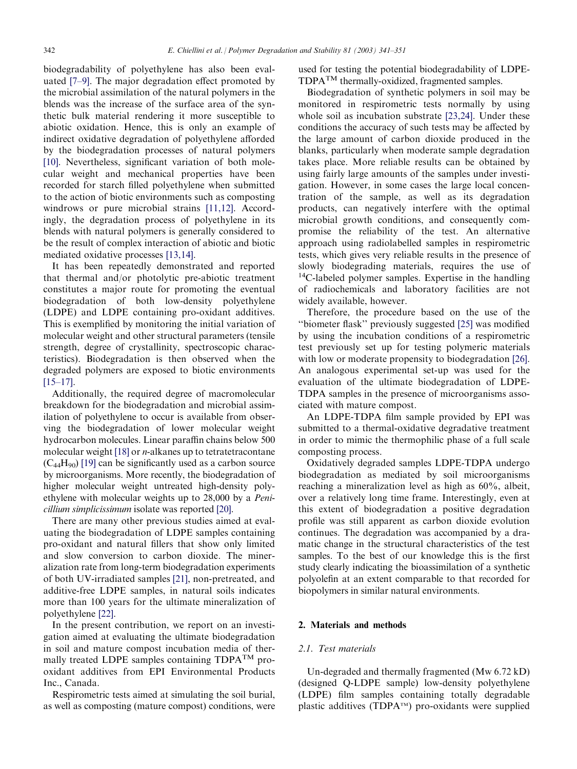biodegradability of polyethylene has also been evaluated [\[7–9\]](#page-9-0). The major degradation effect promoted by the microbial assimilation of the natural polymers in the blends was the increase of the surface area of the synthetic bulk material rendering it more susceptible to abiotic oxidation. Hence, this is only an example of indirect oxidative degradation of polyethylene afforded by the biodegradation processes of natural polymers [\[10\]](#page-9-0). Nevertheless, significant variation of both molecular weight and mechanical properties have been recorded for starch filled polyethylene when submitted to the action of biotic environments such as composting windrows or pure microbial strains [\[11,12\].](#page-10-0) Accordingly, the degradation process of polyethylene in its blends with natural polymers is generally considered to be the result of complex interaction of abiotic and biotic mediated oxidative processes [\[13,14\]](#page-10-0).

It has been repeatedly demonstrated and reported that thermal and/or photolytic pre-abiotic treatment constitutes a major route for promoting the eventual biodegradation of both low-density polyethylene (LDPE) and LDPE containing pro-oxidant additives. This is exemplified by monitoring the initial variation of molecular weight and other structural parameters (tensile strength, degree of crystallinity, spectroscopic characteristics). Biodegradation is then observed when the degraded polymers are exposed to biotic environments [\[15–17\]](#page-10-0).

Additionally, the required degree of macromolecular breakdown for the biodegradation and microbial assimilation of polyethylene to occur is available from observing the biodegradation of lower molecular weight hydrocarbon molecules. Linear paraffin chains below 500 molecular weight [\[18\]](#page-10-0) or *n*-alkanes up to tetratetracontane  $(C_{44}H_{90})$  [\[19\]](#page-10-0) can be significantly used as a carbon source by microorganisms. More recently, the biodegradation of higher molecular weight untreated high-density polyethylene with molecular weights up to 28,000 by a Penicillium simplicissimum isolate was reported [\[20\].](#page-10-0)

There are many other previous studies aimed at evaluating the biodegradation of LDPE samples containing pro-oxidant and natural fillers that show only limited and slow conversion to carbon dioxide. The mineralization rate from long-term biodegradation experiments of both UV-irradiated samples [\[21\],](#page-10-0) non-pretreated, and additive-free LDPE samples, in natural soils indicates more than 100 years for the ultimate mineralization of polyethylene [\[22\]](#page-10-0).

In the present contribution, we report on an investigation aimed at evaluating the ultimate biodegradation in soil and mature compost incubation media of thermally treated LDPE samples containing TDPATM prooxidant additives from EPI Environmental Products Inc., Canada.

Respirometric tests aimed at simulating the soil burial, as well as composting (mature compost) conditions, were used for testing the potential biodegradability of LDPE-TDPATM thermally-oxidized, fragmented samples.

Biodegradation of synthetic polymers in soil may be monitored in respirometric tests normally by using whole soil as incubation substrate [\[23,24\].](#page-10-0) Under these conditions the accuracy of such tests may be affected by the large amount of carbon dioxide produced in the blanks, particularly when moderate sample degradation takes place. More reliable results can be obtained by using fairly large amounts of the samples under investigation. However, in some cases the large local concentration of the sample, as well as its degradation products, can negatively interfere with the optimal microbial growth conditions, and consequently compromise the reliability of the test. An alternative approach using radiolabelled samples in respirometric tests, which gives very reliable results in the presence of slowly biodegrading materials, requires the use of 14C-labeled polymer samples. Expertise in the handling of radiochemicals and laboratory facilities are not widely available, however.

Therefore, the procedure based on the use of the ''biometer flask'' previously suggested [\[25\]](#page-10-0) was modified by using the incubation conditions of a respirometric test previously set up for testing polymeric materials with low or moderate propensity to biodegradation [\[26\]](#page-10-0). An analogous experimental set-up was used for the evaluation of the ultimate biodegradation of LDPE-TDPA samples in the presence of microorganisms associated with mature compost.

An LDPE-TDPA film sample provided by EPI was submitted to a thermal-oxidative degradative treatment in order to mimic the thermophilic phase of a full scale composting process.

Oxidatively degraded samples LDPE-TDPA undergo biodegradation as mediated by soil microorganisms reaching a mineralization level as high as 60%, albeit, over a relatively long time frame. Interestingly, even at this extent of biodegradation a positive degradation profile was still apparent as carbon dioxide evolution continues. The degradation was accompanied by a dramatic change in the structural characteristics of the test samples. To the best of our knowledge this is the first study clearly indicating the bioassimilation of a synthetic polyolefin at an extent comparable to that recorded for biopolymers in similar natural environments.

## 2. Materials and methods

## 2.1. Test materials

Un-degraded and thermally fragmented (Mw 6.72 kD) (designed Q-LDPE sample) low-density polyethylene (LDPE) film samples containing totally degradable plastic additives (TDPA™) pro-oxidants were supplied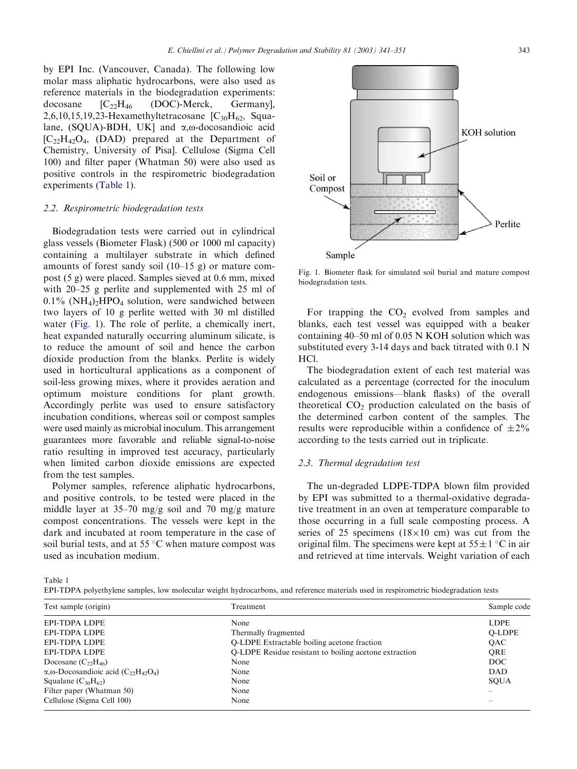by EPI Inc. (Vancouver, Canada). The following low molar mass aliphatic hydrocarbons, were also used as reference materials in the biodegradation experiments: docosane  $[C_{22}H_{46}$  (DOC)-Merck, Germany], 2,6,10,15,19,23-Hexamethyltetracosane  $[C_{30}H_{62}, S_{\text{qua}}]$ lane,  $(SQUA)$ -BDH, UK] and  $\alpha$ , $\omega$ -docosandioic acid  $[C_2,H_4_2O_4, (DAD)$  prepared at the Department of Chemistry, University of Pisa]. Cellulose (Sigma Cell 100) and filter paper (Whatman 50) were also used as positive controls in the respirometric biodegradation experiments (Table 1).

## 2.2. Respirometric biodegradation tests

Biodegradation tests were carried out in cylindrical glass vessels (Biometer Flask) (500 or 1000 ml capacity) containing a multilayer substrate in which defined amounts of forest sandy soil (10–15 g) or mature compost (5 g) were placed. Samples sieved at 0.6 mm, mixed with 20–25 g perlite and supplemented with 25 ml of  $0.1\%$  (NH<sub>4</sub>)<sub>2</sub>HPO<sub>4</sub> solution, were sandwiched between two layers of 10 g perlite wetted with 30 ml distilled water (Fig. 1). The role of perlite, a chemically inert, heat expanded naturally occurring aluminum silicate, is to reduce the amount of soil and hence the carbon dioxide production from the blanks. Perlite is widely used in horticultural applications as a component of soil-less growing mixes, where it provides aeration and optimum moisture conditions for plant growth. Accordingly perlite was used to ensure satisfactory incubation conditions, whereas soil or compost samples were used mainly as microbial inoculum. This arrangement guarantees more favorable and reliable signal-to-noise ratio resulting in improved test accuracy, particularly when limited carbon dioxide emissions are expected from the test samples.

Polymer samples, reference aliphatic hydrocarbons, and positive controls, to be tested were placed in the middle layer at 35–70 mg/g soil and 70 mg/g mature compost concentrations. The vessels were kept in the dark and incubated at room temperature in the case of soil burial tests, and at 55 $\degree$ C when mature compost was used as incubation medium.



Fig. 1. Biometer flask for simulated soil burial and mature compost biodegradation tests.

For trapping the  $CO<sub>2</sub>$  evolved from samples and blanks, each test vessel was equipped with a beaker containing 40–50 ml of 0.05 N KOH solution which was substituted every 3-14 days and back titrated with 0.1 N HCl.

The biodegradation extent of each test material was calculated as a percentage (corrected for the inoculum endogenous emissions—blank flasks) of the overall theoretical  $CO<sub>2</sub>$  production calculated on the basis of the determined carbon content of the samples. The results were reproducible within a confidence of  $\pm 2\%$ according to the tests carried out in triplicate.

# 2.3. Thermal degradation test

The un-degraded LDPE-TDPA blown film provided by EPI was submitted to a thermal-oxidative degradative treatment in an oven at temperature comparable to those occurring in a full scale composting process. A series of 25 specimens  $(18\times10$  cm) was cut from the original film. The specimens were kept at  $55 \pm 1$  °C in air and retrieved at time intervals. Weight variation of each

Table 1

EPI-TDPA polyethylene samples, low molecular weight hydrocarbons, and reference materials used in respirometric biodegradation tests

| Test sample (origin)<br>Treatment                                                                              | Sample code |
|----------------------------------------------------------------------------------------------------------------|-------------|
| <b>EPI-TDPA LDPE</b><br><b>LDPE</b><br>None                                                                    |             |
| EPI-TDPA LDPE<br>O-LDPE<br>Thermally fragmented                                                                |             |
| <b>EPI-TDPA LDPE</b><br>Q-LDPE Extractable boiling acetone fraction<br><b>OAC</b>                              |             |
| EPI-TDPA LDPE<br><b>Q-LDPE</b> Residue resistant to boiling acetone extraction<br><b>ORE</b>                   |             |
| DOC<br>None<br>Docosane $(C_2,H_{46})$                                                                         |             |
| $\alpha$ , $\omega$ -Docosandioic acid (C <sub>22</sub> H <sub>42</sub> O <sub>4</sub> )<br><b>DAD</b><br>None |             |
| <b>SQUA</b><br>Squalane $(C_{30}H_{62})$<br>None                                                               |             |
| Filter paper (Whatman 50)<br>None                                                                              |             |
| Cellulose (Sigma Cell 100)<br>None                                                                             |             |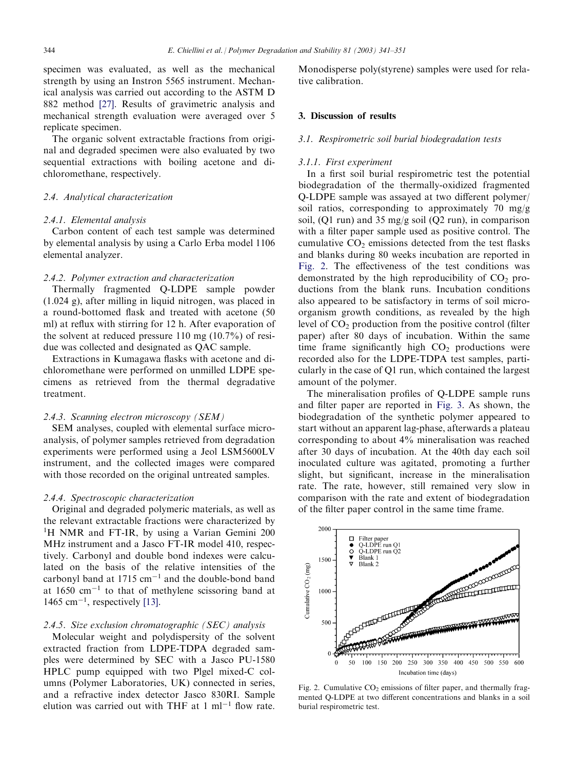specimen was evaluated, as well as the mechanical strength by using an Instron 5565 instrument. Mechanical analysis was carried out according to the ASTM D 882 method [\[27\].](#page-10-0) Results of gravimetric analysis and mechanical strength evaluation were averaged over 5 replicate specimen.

The organic solvent extractable fractions from original and degraded specimen were also evaluated by two sequential extractions with boiling acetone and dichloromethane, respectively.

#### 2.4. Analytical characterization

## 2.4.1. Elemental analysis

Carbon content of each test sample was determined by elemental analysis by using a Carlo Erba model 1106 elemental analyzer.

### 2.4.2. Polymer extraction and characterization

Thermally fragmented Q-LDPE sample powder (1.024 g), after milling in liquid nitrogen, was placed in a round-bottomed flask and treated with acetone (50 ml) at reflux with stirring for 12 h. After evaporation of the solvent at reduced pressure 110 mg (10.7%) of residue was collected and designated as QAC sample.

Extractions in Kumagawa flasks with acetone and dichloromethane were performed on unmilled LDPE specimens as retrieved from the thermal degradative treatment.

#### 2.4.3. Scanning electron microscopy (SEM)

SEM analyses, coupled with elemental surface microanalysis, of polymer samples retrieved from degradation experiments were performed using a Jeol LSM5600LV instrument, and the collected images were compared with those recorded on the original untreated samples.

#### 2.4.4. Spectroscopic characterization

Original and degraded polymeric materials, as well as the relevant extractable fractions were characterized by <sup>1</sup>H NMR and FT-IR, by using a Varian Gemini 200 MHz instrument and a Jasco FT-IR model 410, respectively. Carbonyl and double bond indexes were calculated on the basis of the relative intensities of the carbonyl band at 1715  $cm^{-1}$  and the double-bond band at  $1650 \text{ cm}^{-1}$  to that of methylene scissoring band at  $1465$  cm<sup>-1</sup>, respectively [\[13\]](#page-10-0).

## 2.4.5. Size exclusion chromatographic (SEC) analysis

Molecular weight and polydispersity of the solvent extracted fraction from LDPE-TDPA degraded samples were determined by SEC with a Jasco PU-1580 HPLC pump equipped with two Plgel mixed-C columns (Polymer Laboratories, UK) connected in series, and a refractive index detector Jasco 830RI. Sample elution was carried out with THF at  $1 \text{ ml}^{-1}$  flow rate.

Monodisperse poly(styrene) samples were used for relative calibration.

# 3. Discussion of results

## 3.1. Respirometric soil burial biodegradation tests

#### 3.1.1. First experiment

In a first soil burial respirometric test the potential biodegradation of the thermally-oxidized fragmented Q-LDPE sample was assayed at two different polymer/ soil ratios, corresponding to approximately 70 mg/g soil, (Q1 run) and 35 mg/g soil (Q2 run), in comparison with a filter paper sample used as positive control. The cumulative  $CO<sub>2</sub>$  emissions detected from the test flasks and blanks during 80 weeks incubation are reported in Fig. 2. The effectiveness of the test conditions was demonstrated by the high reproducibility of  $CO<sub>2</sub>$  productions from the blank runs. Incubation conditions also appeared to be satisfactory in terms of soil microorganism growth conditions, as revealed by the high level of  $CO<sub>2</sub>$  production from the positive control (filter paper) after 80 days of incubation. Within the same time frame significantly high  $CO<sub>2</sub>$  productions were recorded also for the LDPE-TDPA test samples, particularly in the case of Q1 run, which contained the largest amount of the polymer.

The mineralisation profiles of Q-LDPE sample runs and filter paper are reported in [Fig. 3.](#page-4-0) As shown, the biodegradation of the synthetic polymer appeared to start without an apparent lag-phase, afterwards a plateau corresponding to about 4% mineralisation was reached after 30 days of incubation. At the 40th day each soil inoculated culture was agitated, promoting a further slight, but significant, increase in the mineralisation rate. The rate, however, still remained very slow in comparison with the rate and extent of biodegradation of the filter paper control in the same time frame.



Fig. 2. Cumulative  $CO<sub>2</sub>$  emissions of filter paper, and thermally fragmented Q-LDPE at two different concentrations and blanks in a soil burial respirometric test.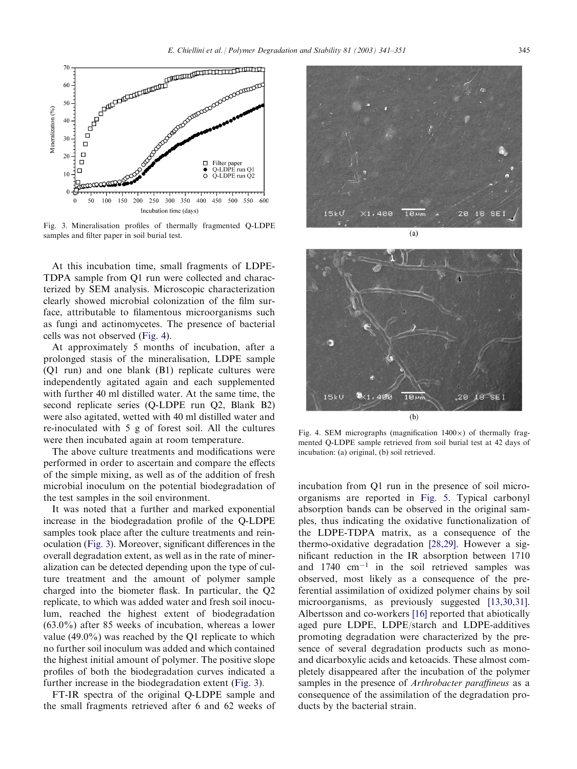<span id="page-4-0"></span>

Fig. 3. Mineralisation profiles of thermally fragmented Q-LDPE samples and filter paper in soil burial test.

At this incubation time, small fragments of LDPE-TDPA sample from Q1 run were collected and characterized by SEM analysis. Microscopic characterization clearly showed microbial colonization of the film surface, attributable to filamentous microorganisms such as fungi and actinomycetes. The presence of bacterial cells was not observed (Fig. 4).

At approximately 5 months of incubation, after a prolonged stasis of the mineralisation, LDPE sample (Q1 run) and one blank (B1) replicate cultures were independently agitated again and each supplemented with further 40 ml distilled water. At the same time, the second replicate series (Q-LDPE run Q2, Blank B2) were also agitated, wetted with 40 ml distilled water and re-inoculated with 5 g of forest soil. All the cultures were then incubated again at room temperature.

The above culture treatments and modifications were performed in order to ascertain and compare the effects of the simple mixing, as well as of the addition of fresh microbial inoculum on the potential biodegradation of the test samples in the soil environment.

It was noted that a further and marked exponential increase in the biodegradation profile of the Q-LDPE samples took place after the culture treatments and reinoculation (Fig. 3). Moreover, significant differences in the overall degradation extent, as well as in the rate of mineralization can be detected depending upon the type of culture treatment and the amount of polymer sample charged into the biometer flask. In particular, the Q2 replicate, to which was added water and fresh soil inoculum, reached the highest extent of biodegradation (63.0%) after 85 weeks of incubation, whereas a lower value (49.0%) was reached by the Q1 replicate to which no further soil inoculum was added and which contained the highest initial amount of polymer. The positive slope profiles of both the biodegradation curves indicated a further increase in the biodegradation extent (Fig. 3).

FT-IR spectra of the original Q-LDPE sample and the small fragments retrieved after 6 and 62 weeks of



 $15k$  $400$ 20  $18$  SE I  $(b)$ 

Fig. 4. SEM micrographs (magnification  $1400 \times$ ) of thermally fragmented Q-LDPE sample retrieved from soil burial test at 42 days of incubation: (a) original, (b) soil retrieved.

incubation from Q1 run in the presence of soil microorganisms are reported in [Fig. 5](#page-5-0). Typical carbonyl absorption bands can be observed in the original samples, thus indicating the oxidative functionalization of the LDPE-TDPA matrix, as a consequence of the thermo-oxidative degradation [\[28,29\].](#page-10-0) However a significant reduction in the IR absorption between 1710 and  $1740 \text{ cm}^{-1}$  in the soil retrieved samples was observed, most likely as a consequence of the preferential assimilation of oxidized polymer chains by soil microorganisms, as previously suggested [\[13,30,31\]](#page-10-0). Albertsson and co-workers [\[16\]](#page-10-0) reported that abiotically aged pure LDPE, LDPE/starch and LDPE-additives promoting degradation were characterized by the presence of several degradation products such as monoand dicarboxylic acids and ketoacids. These almost completely disappeared after the incubation of the polymer samples in the presence of Arthrobacter paraffineus as a consequence of the assimilation of the degradation products by the bacterial strain.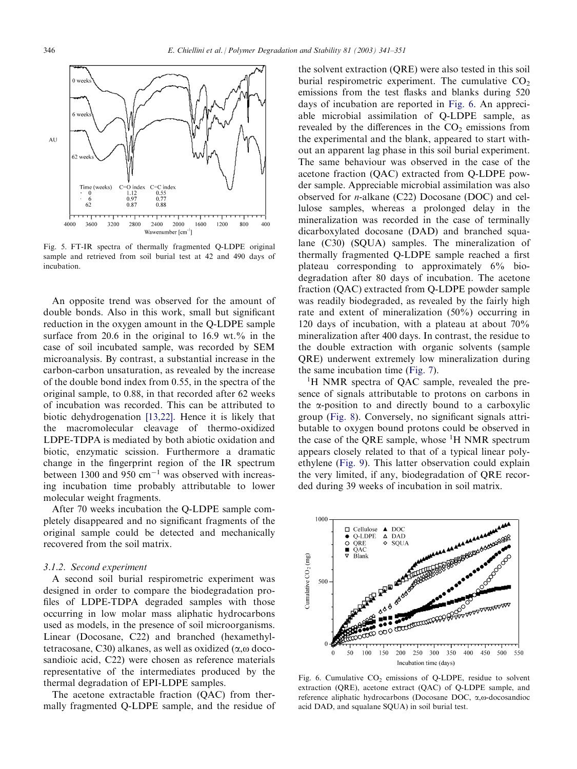<span id="page-5-0"></span>

Fig. 5. FT-IR spectra of thermally fragmented Q-LDPE original sample and retrieved from soil burial test at 42 and 490 days of incubation.

An opposite trend was observed for the amount of double bonds. Also in this work, small but significant reduction in the oxygen amount in the Q-LDPE sample surface from 20.6 in the original to  $16.9$  wt.% in the case of soil incubated sample, was recorded by SEM microanalysis. By contrast, a substantial increase in the carbon-carbon unsaturation, as revealed by the increase of the double bond index from 0.55, in the spectra of the original sample, to 0.88, in that recorded after 62 weeks of incubation was recorded. This can be attributed to biotic dehydrogenation [\[13,22\]](#page-10-0). Hence it is likely that the macromolecular cleavage of thermo-oxidized LDPE-TDPA is mediated by both abiotic oxidation and biotic, enzymatic scission. Furthermore a dramatic change in the fingerprint region of the IR spectrum between 1300 and  $950 \text{ cm}^{-1}$  was observed with increasing incubation time probably attributable to lower molecular weight fragments.

After 70 weeks incubation the Q-LDPE sample completely disappeared and no significant fragments of the original sample could be detected and mechanically recovered from the soil matrix.

#### 3.1.2. Second experiment

A second soil burial respirometric experiment was designed in order to compare the biodegradation profiles of LDPE-TDPA degraded samples with those occurring in low molar mass aliphatic hydrocarbons used as models, in the presence of soil microorganisms. Linear (Docosane, C22) and branched (hexamethyltetracosane, C30) alkanes, as well as oxidized  $(\alpha, \omega)$  docosandioic acid, C22) were chosen as reference materials representative of the intermediates produced by the thermal degradation of EPI-LDPE samples.

The acetone extractable fraction (QAC) from thermally fragmented Q-LDPE sample, and the residue of

the solvent extraction (QRE) were also tested in this soil burial respirometric experiment. The cumulative  $CO<sub>2</sub>$ emissions from the test flasks and blanks during 520 days of incubation are reported in Fig. 6. An appreciable microbial assimilation of Q-LDPE sample, as revealed by the differences in the  $CO<sub>2</sub>$  emissions from the experimental and the blank, appeared to start without an apparent lag phase in this soil burial experiment. The same behaviour was observed in the case of the acetone fraction (QAC) extracted from Q-LDPE powder sample. Appreciable microbial assimilation was also observed for n-alkane (C22) Docosane (DOC) and cellulose samples, whereas a prolonged delay in the mineralization was recorded in the case of terminally dicarboxylated docosane (DAD) and branched squalane (C30) (SQUA) samples. The mineralization of thermally fragmented Q-LDPE sample reached a first plateau corresponding to approximately 6% biodegradation after 80 days of incubation. The acetone fraction (QAC) extracted from Q-LDPE powder sample was readily biodegraded, as revealed by the fairly high rate and extent of mineralization (50%) occurring in 120 days of incubation, with a plateau at about 70% mineralization after 400 days. In contrast, the residue to the double extraction with organic solvents (sample QRE) underwent extremely low mineralization during the same incubation time ([Fig. 7](#page-6-0)).

<sup>1</sup>H NMR spectra of QAC sample, revealed the presence of signals attributable to protons on carbons in the  $\alpha$ -position to and directly bound to a carboxylic group [\(Fig. 8\)](#page-6-0). Conversely, no significant signals attributable to oxygen bound protons could be observed in the case of the QRE sample, whose <sup>1</sup>H NMR spectrum appears closely related to that of a typical linear polyethylene [\(Fig. 9\)](#page-7-0). This latter observation could explain the very limited, if any, biodegradation of QRE recorded during 39 weeks of incubation in soil matrix.



Fig. 6. Cumulative  $CO<sub>2</sub>$  emissions of Q-LDPE, residue to solvent extraction (QRE), acetone extract (QAC) of Q-LDPE sample, and reference aliphatic hydrocarbons (Docosane DOC, α,ω-docosandioc acid DAD, and squalane SQUA) in soil burial test.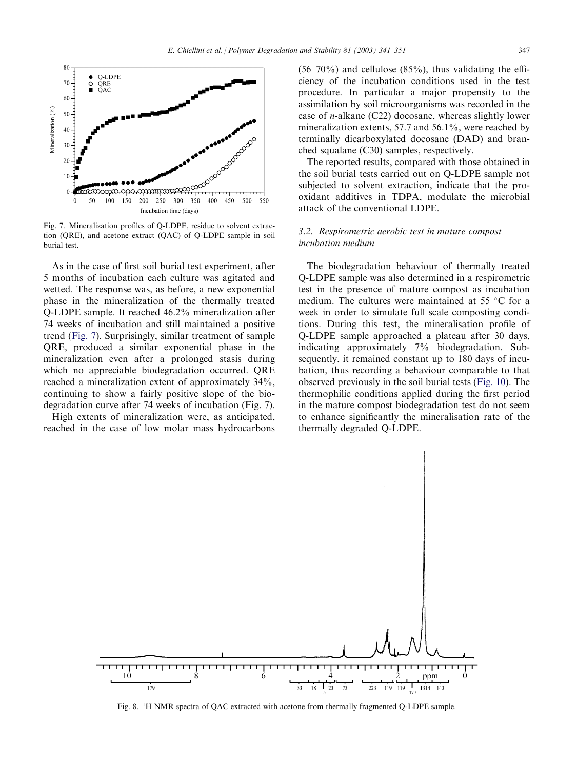<span id="page-6-0"></span>

Fig. 7. Mineralization profiles of Q-LDPE, residue to solvent extraction (QRE), and acetone extract (QAC) of Q-LDPE sample in soil burial test.

As in the case of first soil burial test experiment, after 5 months of incubation each culture was agitated and wetted. The response was, as before, a new exponential phase in the mineralization of the thermally treated Q-LDPE sample. It reached 46.2% mineralization after 74 weeks of incubation and still maintained a positive trend (Fig. 7). Surprisingly, similar treatment of sample QRE, produced a similar exponential phase in the mineralization even after a prolonged stasis during which no appreciable biodegradation occurred. QRE reached a mineralization extent of approximately 34%, continuing to show a fairly positive slope of the biodegradation curve after 74 weeks of incubation (Fig. 7).

High extents of mineralization were, as anticipated, reached in the case of low molar mass hydrocarbons

 $(56-70\%)$  and cellulose  $(85\%)$ , thus validating the efficiency of the incubation conditions used in the test procedure. In particular a major propensity to the assimilation by soil microorganisms was recorded in the case of n-alkane (C22) docosane, whereas slightly lower mineralization extents, 57.7 and 56.1%, were reached by terminally dicarboxylated docosane (DAD) and branched squalane (C30) samples, respectively.

The reported results, compared with those obtained in the soil burial tests carried out on Q-LDPE sample not subjected to solvent extraction, indicate that the prooxidant additives in TDPA, modulate the microbial attack of the conventional LDPE.

# 3.2. Respirometric aerobic test in mature compost incubation medium

The biodegradation behaviour of thermally treated Q-LDPE sample was also determined in a respirometric test in the presence of mature compost as incubation medium. The cultures were maintained at 55  $\degree$ C for a week in order to simulate full scale composting conditions. During this test, the mineralisation profile of Q-LDPE sample approached a plateau after 30 days, indicating approximately 7% biodegradation. Subsequently, it remained constant up to 180 days of incubation, thus recording a behaviour comparable to that observed previously in the soil burial tests [\(Fig. 10\)](#page-7-0). The thermophilic conditions applied during the first period in the mature compost biodegradation test do not seem to enhance significantly the mineralisation rate of the thermally degraded Q-LDPE.



Fig. 8. <sup>1</sup>H NMR spectra of QAC extracted with acetone from thermally fragmented Q-LDPE sample.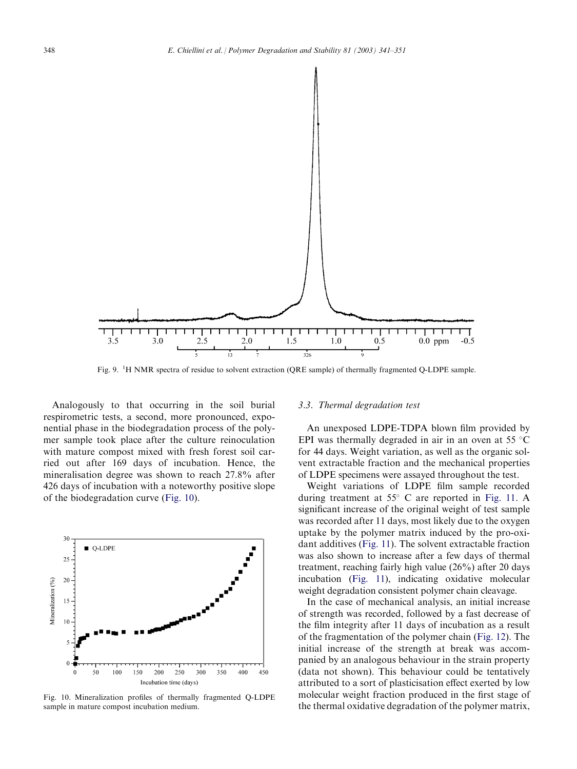<span id="page-7-0"></span>

Fig. 9. <sup>1</sup> H NMR spectra of residue to solvent extraction (QRE sample) of thermally fragmented Q-LDPE sample.

Analogously to that occurring in the soil burial respirometric tests, a second, more pronounced, exponential phase in the biodegradation process of the polymer sample took place after the culture reinoculation with mature compost mixed with fresh forest soil carried out after 169 days of incubation. Hence, the mineralisation degree was shown to reach 27.8% after 426 days of incubation with a noteworthy positive slope of the biodegradation curve (Fig. 10).



Fig. 10. Mineralization profiles of thermally fragmented Q-LDPE sample in mature compost incubation medium.

#### 3.3. Thermal degradation test

An unexposed LDPE-TDPA blown film provided by EPI was thermally degraded in air in an oven at 55  $\degree$ C for 44 days. Weight variation, as well as the organic solvent extractable fraction and the mechanical properties of LDPE specimens were assayed throughout the test.

Weight variations of LDPE film sample recorded during treatment at  $55^{\circ}$  C are reported in [Fig. 11](#page-8-0). A significant increase of the original weight of test sample was recorded after 11 days, most likely due to the oxygen uptake by the polymer matrix induced by the pro-oxidant additives ([Fig. 11](#page-8-0)). The solvent extractable fraction was also shown to increase after a few days of thermal treatment, reaching fairly high value (26%) after 20 days incubation [\(Fig. 11](#page-8-0)), indicating oxidative molecular weight degradation consistent polymer chain cleavage.

In the case of mechanical analysis, an initial increase of strength was recorded, followed by a fast decrease of the film integrity after 11 days of incubation as a result of the fragmentation of the polymer chain [\(Fig. 12\)](#page-8-0). The initial increase of the strength at break was accompanied by an analogous behaviour in the strain property (data not shown). This behaviour could be tentatively attributed to a sort of plasticisation effect exerted by low molecular weight fraction produced in the first stage of the thermal oxidative degradation of the polymer matrix,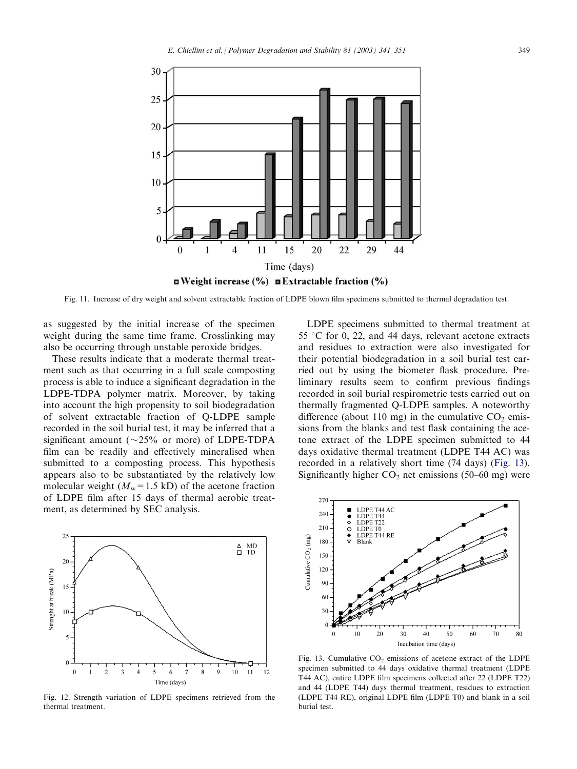<span id="page-8-0"></span>

Fig. 11. Increase of dry weight and solvent extractable fraction of LDPE blown film specimens submitted to thermal degradation test.

as suggested by the initial increase of the specimen weight during the same time frame. Crosslinking may also be occurring through unstable peroxide bridges.

These results indicate that a moderate thermal treatment such as that occurring in a full scale composting process is able to induce a significant degradation in the LDPE-TDPA polymer matrix. Moreover, by taking into account the high propensity to soil biodegradation of solvent extractable fraction of Q-LDPE sample recorded in the soil burial test, it may be inferred that a significant amount ( $\sim$ 25% or more) of LDPE-TDPA film can be readily and effectively mineralised when submitted to a composting process. This hypothesis appears also to be substantiated by the relatively low molecular weight  $(M_w=1.5 \text{ kD})$  of the acetone fraction of LDPE film after 15 days of thermal aerobic treatment, as determined by SEC analysis.



Fig. 12. Strength variation of LDPE specimens retrieved from the thermal treatment.

LDPE specimens submitted to thermal treatment at 55 °C for 0, 22, and 44 days, relevant acetone extracts and residues to extraction were also investigated for their potential biodegradation in a soil burial test carried out by using the biometer flask procedure. Preliminary results seem to confirm previous findings recorded in soil burial respirometric tests carried out on thermally fragmented Q-LDPE samples. A noteworthy difference (about 110 mg) in the cumulative  $CO<sub>2</sub>$  emissions from the blanks and test flask containing the acetone extract of the LDPE specimen submitted to 44 days oxidative thermal treatment (LDPE T44 AC) was recorded in a relatively short time (74 days) (Fig. 13). Significantly higher  $CO<sub>2</sub>$  net emissions (50–60 mg) were



Fig. 13. Cumulative  $CO<sub>2</sub>$  emissions of acetone extract of the LDPE specimen submitted to 44 days oxidative thermal treatment (LDPE T44 AC), entire LDPE film specimens collected after 22 (LDPE T22) and 44 (LDPE T44) days thermal treatment, residues to extraction (LDPE T44 RE), original LDPE film (LDPE T0) and blank in a soil burial test.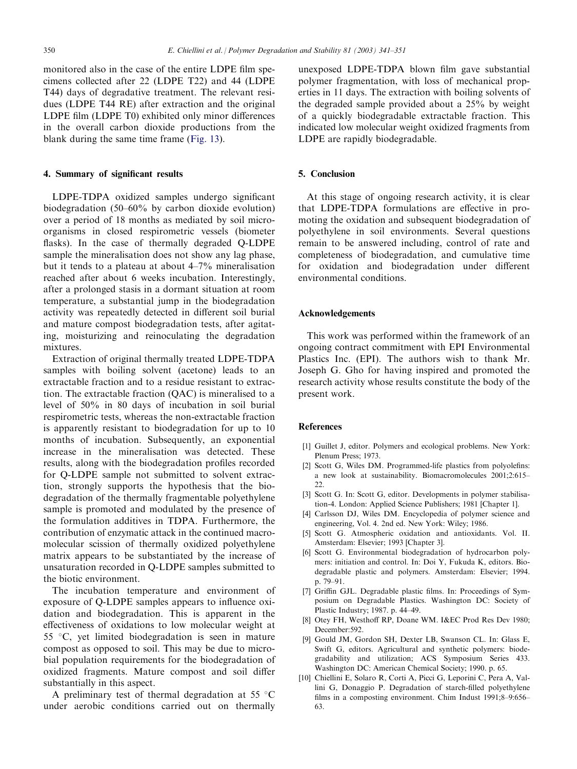<span id="page-9-0"></span>monitored also in the case of the entire LDPE film specimens collected after 22 (LDPE T22) and 44 (LDPE T44) days of degradative treatment. The relevant residues (LDPE T44 RE) after extraction and the original LDPE film (LDPE T0) exhibited only minor differences in the overall carbon dioxide productions from the blank during the same time frame [\(Fig. 13](#page-8-0)).

#### 4. Summary of significant results

LDPE-TDPA oxidized samples undergo significant biodegradation (50–60% by carbon dioxide evolution) over a period of 18 months as mediated by soil microorganisms in closed respirometric vessels (biometer flasks). In the case of thermally degraded Q-LDPE sample the mineralisation does not show any lag phase, but it tends to a plateau at about 4–7% mineralisation reached after about 6 weeks incubation. Interestingly, after a prolonged stasis in a dormant situation at room temperature, a substantial jump in the biodegradation activity was repeatedly detected in different soil burial and mature compost biodegradation tests, after agitating, moisturizing and reinoculating the degradation mixtures.

Extraction of original thermally treated LDPE-TDPA samples with boiling solvent (acetone) leads to an extractable fraction and to a residue resistant to extraction. The extractable fraction (QAC) is mineralised to a level of 50% in 80 days of incubation in soil burial respirometric tests, whereas the non-extractable fraction is apparently resistant to biodegradation for up to 10 months of incubation. Subsequently, an exponential increase in the mineralisation was detected. These results, along with the biodegradation profiles recorded for Q-LDPE sample not submitted to solvent extraction, strongly supports the hypothesis that the biodegradation of the thermally fragmentable polyethylene sample is promoted and modulated by the presence of the formulation additives in TDPA. Furthermore, the contribution of enzymatic attack in the continued macromolecular scission of thermally oxidized polyethylene matrix appears to be substantiated by the increase of unsaturation recorded in Q-LDPE samples submitted to the biotic environment.

The incubation temperature and environment of exposure of Q-LDPE samples appears to influence oxidation and biodegradation. This is apparent in the effectiveness of oxidations to low molecular weight at  $55^{\circ}$ C, yet limited biodegradation is seen in mature compost as opposed to soil. This may be due to microbial population requirements for the biodegradation of oxidized fragments. Mature compost and soil differ substantially in this aspect.

A preliminary test of thermal degradation at 55  $\degree$ C under aerobic conditions carried out on thermally

unexposed LDPE-TDPA blown film gave substantial polymer fragmentation, with loss of mechanical properties in 11 days. The extraction with boiling solvents of the degraded sample provided about a 25% by weight of a quickly biodegradable extractable fraction. This indicated low molecular weight oxidized fragments from LDPE are rapidly biodegradable.

# 5. Conclusion

At this stage of ongoing research activity, it is clear that LDPE-TDPA formulations are effective in promoting the oxidation and subsequent biodegradation of polyethylene in soil environments. Several questions remain to be answered including, control of rate and completeness of biodegradation, and cumulative time for oxidation and biodegradation under different environmental conditions.

#### Acknowledgements

This work was performed within the framework of an ongoing contract commitment with EPI Environmental Plastics Inc. (EPI). The authors wish to thank Mr. Joseph G. Gho for having inspired and promoted the research activity whose results constitute the body of the present work.

#### References

- [1] Guillet J, editor. Polymers and ecological problems. New York: Plenum Press; 1973.
- [2] Scott G, Wiles DM. Programmed-life plastics from polyolefins: a new look at sustainability. Biomacromolecules 2001;2:615–  $22.2$
- [3] Scott G. In: Scott G, editor. Developments in polymer stabilisation-4. London: Applied Science Publishers; 1981 [Chapter 1].
- [4] Carlsson DJ, Wiles DM. Encyclopedia of polymer science and engineering, Vol. 4. 2nd ed. New York: Wiley; 1986.
- [5] Scott G. Atmospheric oxidation and antioxidants. Vol. II. Amsterdam: Elsevier; 1993 [Chapter 3].
- [6] Scott G. Environmental biodegradation of hydrocarbon polymers: initiation and control. In: Doi Y, Fukuda K, editors. Biodegradable plastic and polymers. Amsterdam: Elsevier; 1994. p. 79–91.
- [7] Griffin GJL. Degradable plastic films. In: Proceedings of Symposium on Degradable Plastics. Washington DC: Society of Plastic Industry; 1987. p. 44–49.
- [8] Otey FH, Westhoff RP, Doane WM. I&EC Prod Res Dev 1980; December:592.
- [9] Gould JM, Gordon SH, Dexter LB, Swanson CL. In: Glass E, Swift G, editors. Agricultural and synthetic polymers: biodegradability and utilization; ACS Symposium Series 433. Washington DC: American Chemical Society; 1990. p. 65.
- [10] Chiellini E, Solaro R, Corti A, Picci G, Leporini C, Pera A, Vallini G, Donaggio P. Degradation of starch-filled polyethylene films in a composting environment. Chim Indust 1991;8–9:656– 63.